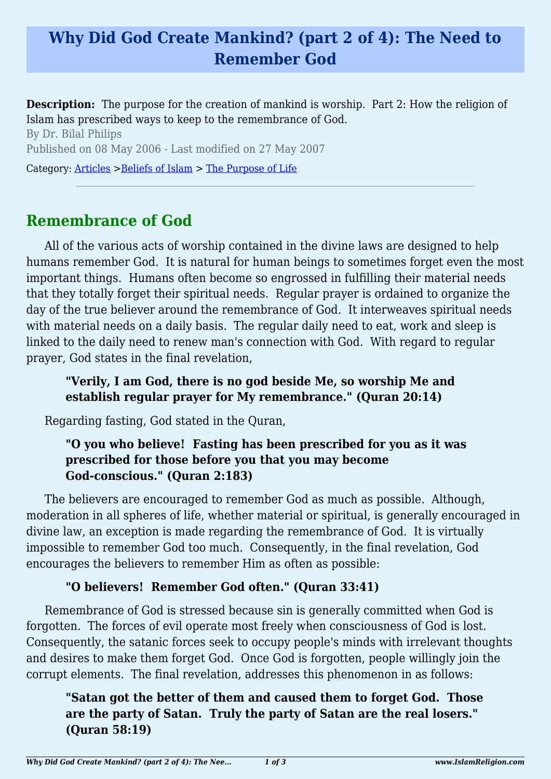# **Why Did God Create Mankind? (part 2 of 4): The Need to Remember God**

**Description:** The purpose for the creation of mankind is worship. Part 2: How the religion of Islam has prescribed ways to keep to the remembrance of God.

By Dr. Bilal Philips Published on 08 May 2006 - Last modified on 27 May 2007

Category: [Articles](http://www.islamreligion.com/articles/) >[Beliefs of Islam](http://www.islamreligion.com/category/48/) > [The Purpose of Life](http://www.islamreligion.com/category/52/)

## **Remembrance of God**

All of the various acts of worship contained in the divine laws are designed to help humans remember God. It is natural for human beings to sometimes forget even the most important things. Humans often become so engrossed in fulfilling their material needs that they totally forget their spiritual needs. Regular prayer is ordained to organize the day of the true believer around the remembrance of God. It interweaves spiritual needs with material needs on a daily basis. The regular daily need to eat, work and sleep is linked to the daily need to renew man's connection with God. With regard to regular prayer, God states in the final revelation,

#### **"Verily, I am God, there is no god beside Me, so worship Me and establish regular prayer for My remembrance." (Quran 20:14)**

Regarding fasting, God stated in the Quran,

#### **"O you who believe! Fasting has been prescribed for you as it was prescribed for those before you that you may become God-conscious." (Quran 2:183)**

The believers are encouraged to remember God as much as possible. Although, moderation in all spheres of life, whether material or spiritual, is generally encouraged in divine law, an exception is made regarding the remembrance of God. It is virtually impossible to remember God too much. Consequently, in the final revelation, God encourages the believers to remember Him as often as possible:

### **"O believers! Remember God often." (Quran 33:41)**

Remembrance of God is stressed because sin is generally committed when God is forgotten. The forces of evil operate most freely when consciousness of God is lost. Consequently, the satanic forces seek to occupy people's minds with irrelevant thoughts and desires to make them forget God. Once God is forgotten, people willingly join the corrupt elements. The final revelation, addresses this phenomenon in as follows:

**"Satan got the better of them and caused them to forget God. Those are the party of Satan. Truly the party of Satan are the real losers." (Quran 58:19)**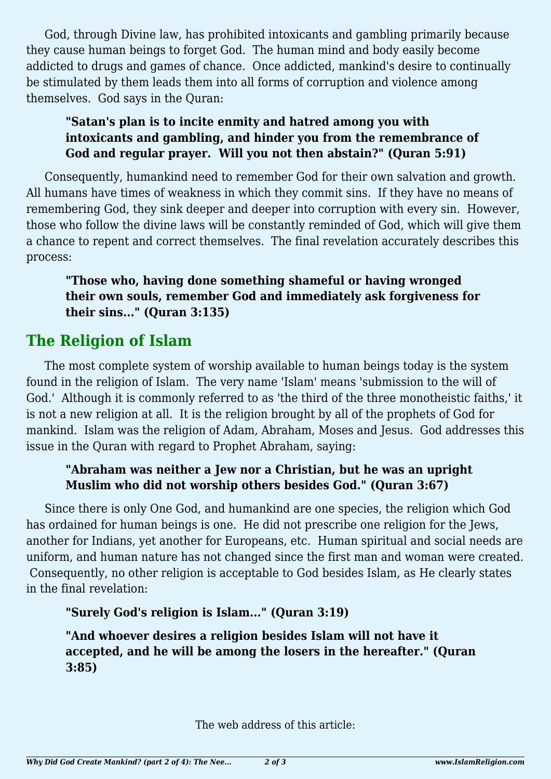God, through Divine law, has prohibited intoxicants and gambling primarily because they cause human beings to forget God. The human mind and body easily become addicted to drugs and games of chance. Once addicted, mankind's desire to continually be stimulated by them leads them into all forms of corruption and violence among themselves. God says in the Quran:

#### **"Satan's plan is to incite enmity and hatred among you with intoxicants and gambling, and hinder you from the remembrance of God and regular prayer. Will you not then abstain?" (Quran 5:91)**

Consequently, humankind need to remember God for their own salvation and growth. All humans have times of weakness in which they commit sins. If they have no means of remembering God, they sink deeper and deeper into corruption with every sin. However, those who follow the divine laws will be constantly reminded of God, which will give them a chance to repent and correct themselves. The final revelation accurately describes this process:

**"Those who, having done something shameful or having wronged their own souls, remember God and immediately ask forgiveness for their sins..." (Quran 3:135)**

# **The Religion of Islam**

The most complete system of worship available to human beings today is the system found in the religion of Islam. The very name 'Islam' means 'submission to the will of God.' Although it is commonly referred to as 'the third of the three monotheistic faiths,' it is not a new religion at all. It is the religion brought by all of the prophets of God for mankind. Islam was the religion of Adam, Abraham, Moses and Jesus. God addresses this issue in the Quran with regard to Prophet Abraham, saying:

### **"Abraham was neither a Jew nor a Christian, but he was an upright Muslim who did not worship others besides God." (Quran 3:67)**

Since there is only One God, and humankind are one species, the religion which God has ordained for human beings is one. He did not prescribe one religion for the Jews, another for Indians, yet another for Europeans, etc. Human spiritual and social needs are uniform, and human nature has not changed since the first man and woman were created. Consequently, no other religion is acceptable to God besides Islam, as He clearly states in the final revelation:

### **"Surely God's religion is Islam..." (Quran 3:19)**

**"And whoever desires a religion besides Islam will not have it accepted, and he will be among the losers in the hereafter." (Quran 3:85)**

The web address of this article: